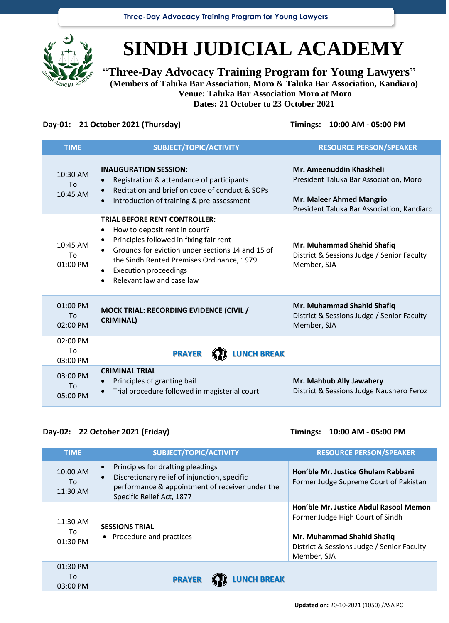

# **SINDH JUDICIAL ACADEMY**

**"Three-Day Advocacy Training Program for Young Lawyers" (Members of Taluka Bar Association, Moro & Taluka Bar Association, Kandiaro) Venue: Taluka Bar Association Moro at Moro Dates: 21 October to 23 October 2021**

### **Day-01: 21 October 2021 (Thursday) Timings: 10:00 AM - 05:00 PM**

| <b>TIME</b>                  | SUBJECT/TOPIC/ACTIVITY                                                                                                                                                                                                                                                                                                                          | <b>RESOURCE PERSON/SPEAKER</b>                                                                                                                      |
|------------------------------|-------------------------------------------------------------------------------------------------------------------------------------------------------------------------------------------------------------------------------------------------------------------------------------------------------------------------------------------------|-----------------------------------------------------------------------------------------------------------------------------------------------------|
| 10:30 AM<br>Tο.<br>10:45 AM  | <b>INAUGURATION SESSION:</b><br>Registration & attendance of participants<br>$\bullet$<br>Recitation and brief on code of conduct & SOPs<br>$\bullet$<br>Introduction of training & pre-assessment<br>$\bullet$                                                                                                                                 | Mr. Ameenuddin Khaskheli<br>President Taluka Bar Association, Moro<br><b>Mr. Maleer Ahmed Mangrio</b><br>President Taluka Bar Association, Kandiaro |
| $10:45$ AM<br>Τo<br>01:00 PM | <b>TRIAL BEFORE RENT CONTROLLER:</b><br>How to deposit rent in court?<br>$\bullet$<br>Principles followed in fixing fair rent<br>$\bullet$<br>Grounds for eviction under sections 14 and 15 of<br>$\bullet$<br>the Sindh Rented Premises Ordinance, 1979<br><b>Execution proceedings</b><br>$\bullet$<br>Relevant law and case law<br>$\bullet$ | Mr. Muhammad Shahid Shafiq<br>District & Sessions Judge / Senior Faculty<br>Member, SJA                                                             |
| 01:00 PM<br>To<br>02:00 PM   | <b>MOCK TRIAL: RECORDING EVIDENCE (CIVIL /</b><br><b>CRIMINAL)</b>                                                                                                                                                                                                                                                                              | Mr. Muhammad Shahid Shafiq<br>District & Sessions Judge / Senior Faculty<br>Member, SJA                                                             |
| 02:00 PM<br>To<br>03:00 PM   | <b>LUNCH BREAK</b><br><b>PRAYER</b>                                                                                                                                                                                                                                                                                                             |                                                                                                                                                     |
| 03:00 PM<br>To<br>05:00 PM   | <b>CRIMINAL TRIAL</b><br>Principles of granting bail<br>$\bullet$<br>Trial procedure followed in magisterial court<br>$\bullet$                                                                                                                                                                                                                 | Mr. Mahbub Ally Jawahery<br>District & Sessions Judge Naushero Feroz                                                                                |

### **Day-02: 22 October 2021 (Friday) Timings: 10:00 AM - 05:00 PM**

| <b>TIME</b>                  | SUBJECT/TOPIC/ACTIVITY                                                                                                                                                                      | <b>RESOURCE PERSON/SPEAKER</b>                                                                                                                                        |
|------------------------------|---------------------------------------------------------------------------------------------------------------------------------------------------------------------------------------------|-----------------------------------------------------------------------------------------------------------------------------------------------------------------------|
| 10:00 AM<br>To<br>11:30 AM   | Principles for drafting pleadings<br>$\bullet$<br>Discretionary relief of injunction, specific<br>$\bullet$<br>performance & appointment of receiver under the<br>Specific Relief Act, 1877 | Hon'ble Mr. Justice Ghulam Rabbani<br>Former Judge Supreme Court of Pakistan                                                                                          |
| 11:30 AM<br>To<br>01:30 PM   | <b>SESSIONS TRIAL</b><br>• Procedure and practices                                                                                                                                          | Hon'ble Mr. Justice Abdul Rasool Memon<br>Former Judge High Court of Sindh<br>Mr. Muhammad Shahid Shafiq<br>District & Sessions Judge / Senior Faculty<br>Member, SJA |
| 01:30 PM<br>To<br>$03:00$ PM | <b>LUNCH BREAK</b><br><b>PRAYER</b>                                                                                                                                                         |                                                                                                                                                                       |